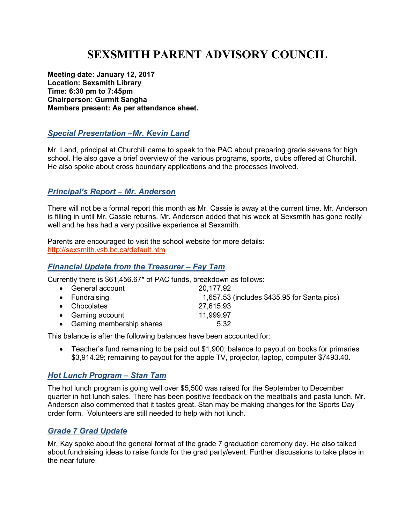# **SEXSMITH PARENT ADVISORY COUNCIL**

**Meeting date: January 12, 2017 Location: Sexsmith Library Time: 6:30 pm to 7:45pm Chairperson: Gurmit Sangha Members present: As per attendance sheet.** 

# *Special Presentation –Mr. Kevin Land*

Mr. Land, principal at Churchill came to speak to the PAC about preparing grade sevens for high school. He also gave a brief overview of the various programs, sports, clubs offered at Churchill. He also spoke about cross boundary applications and the processes involved.

### *Principal's Report – Mr. Anderson*

There will not be a formal report this month as Mr. Cassie is away at the current time. Mr. Anderson is filling in until Mr. Cassie returns. Mr. Anderson added that his week at Sexsmith has gone really well and he has had a very positive experience at Sexsmith.

Parents are encouraged to visit the school website for more details: http://sexsmith.vsb.bc.ca/default.htm

#### *Financial Update from the Treasurer – Fay Tam*

Currently there is \$61,456.67\* of PAC funds, breakdown as follows:

| • General account          | 20,177.92                                   |
|----------------------------|---------------------------------------------|
| • Fundraising              | 1,657.53 (includes \$435.95 for Santa pics) |
| • Chocolates               | 27,615.93                                   |
| • Gaming account           | 11,999.97                                   |
| • Gaming membership shares | 5.32                                        |

This balance is after the following balances have been accounted for:

• Teacher's fund remaining to be paid out \$1,900; balance to payout on books for primaries \$3,914.29; remaining to payout for the apple TV, projector, laptop, computer \$7493.40.

#### *Hot Lunch Program – Stan Tam*

The hot lunch program is going well over \$5,500 was raised for the September to December quarter in hot lunch sales. There has been positive feedback on the meatballs and pasta lunch. Mr. Anderson also commented that it tastes great. Stan may be making changes for the Sports Day order form. Volunteers are still needed to help with hot lunch.

# *Grade 7 Grad Update*

Mr. Kay spoke about the general format of the grade 7 graduation ceremony day. He also talked about fundraising ideas to raise funds for the grad party/event. Further discussions to take place in the near future.